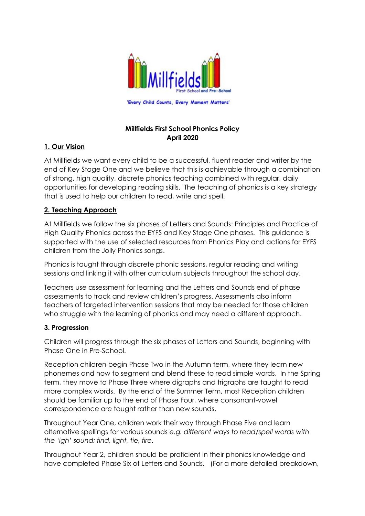

# **Millfields First School Phonics Policy April 2020**

# **1. Our Vision**

At Millfields we want every child to be a successful, fluent reader and writer by the end of Key Stage One and we believe that this is achievable through a combination of strong, high quality, discrete phonics teaching combined with regular, daily opportunities for developing reading skills. The teaching of phonics is a key strategy that is used to help our children to read, write and spell.

## **2. Teaching Approach**

At Millfields we follow the six phases of Letters and Sounds: Principles and Practice of High Quality Phonics across the EYFS and Key Stage One phases. This guidance is supported with the use of selected resources from Phonics Play and actions for EYFS children from the Jolly Phonics songs.

Phonics is taught through discrete phonic sessions, regular reading and writing sessions and linking it with other curriculum subjects throughout the school day.

Teachers use assessment for learning and the Letters and Sounds end of phase assessments to track and review children's progress. Assessments also inform teachers of targeted intervention sessions that may be needed for those children who struggle with the learning of phonics and may need a different approach.

## **3. Progression**

Children will progress through the six phases of Letters and Sounds, beginning with Phase One in Pre-School.

Reception children begin Phase Two in the Autumn term, where they learn new phonemes and how to segment and blend these to read simple words. In the Spring term, they move to Phase Three where digraphs and trigraphs are taught to read more complex words. By the end of the Summer Term, most Reception children should be familiar up to the end of Phase Four, where consonant-vowel correspondence are taught rather than new sounds.

Throughout Year One, children work their way through Phase Five and learn alternative spellings for various sounds *e.g. different ways to read/spell words with the 'igh' sound: find, light, tie, fire.*

Throughout Year 2, children should be proficient in their phonics knowledge and have completed Phase Six of Letters and Sounds. (For a more detailed breakdown,